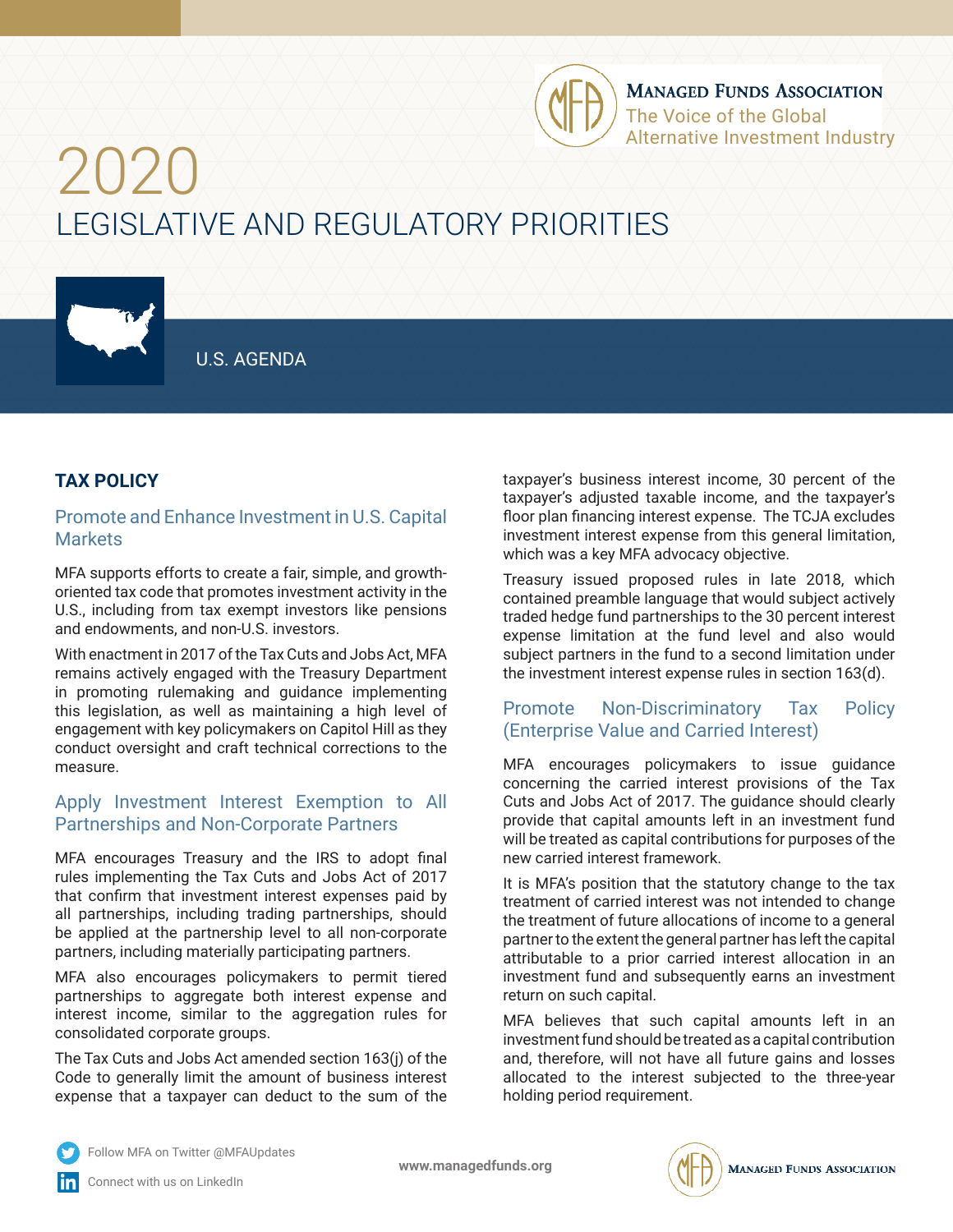

# 2020 LEGISLATIVE AND REGULATORY PRIORITIES



U.S. AGENDA

## **TAX POLICY**

#### Promote and Enhance Investment in U.S. Capital **Markets**

MFA supports efforts to create a fair, simple, and growthoriented tax code that promotes investment activity in the U.S., including from tax exempt investors like pensions and endowments, and non-U.S. investors.

With enactment in 2017 of the Tax Cuts and Jobs Act, MFA remains actively engaged with the Treasury Department in promoting rulemaking and guidance implementing this legislation, as well as maintaining a high level of engagement with key policymakers on Capitol Hill as they conduct oversight and craft technical corrections to the measure.

## Apply Investment Interest Exemption to All Partnerships and Non-Corporate Partners

MFA encourages Treasury and the IRS to adopt final rules implementing the Tax Cuts and Jobs Act of 2017 that confirm that investment interest expenses paid by all partnerships, including trading partnerships, should be applied at the partnership level to all non-corporate partners, including materially participating partners.

MFA also encourages policymakers to permit tiered partnerships to aggregate both interest expense and interest income, similar to the aggregation rules for consolidated corporate groups.

The Tax Cuts and Jobs Act amended section 163(j) of the Code to generally limit the amount of business interest expense that a taxpayer can deduct to the sum of the taxpayer's business interest income, 30 percent of the taxpayer's adjusted taxable income, and the taxpayer's floor plan financing interest expense. The TCJA excludes investment interest expense from this general limitation, which was a key MFA advocacy objective.

Treasury issued proposed rules in late 2018, which contained preamble language that would subject actively traded hedge fund partnerships to the 30 percent interest expense limitation at the fund level and also would subject partners in the fund to a second limitation under the investment interest expense rules in section 163(d).

## Promote Non-Discriminatory Tax Policy (Enterprise Value and Carried Interest)

MFA encourages policymakers to issue guidance concerning the carried interest provisions of the Tax Cuts and Jobs Act of 2017. The guidance should clearly provide that capital amounts left in an investment fund will be treated as capital contributions for purposes of the new carried interest framework.

It is MFA's position that the statutory change to the tax treatment of carried interest was not intended to change the treatment of future allocations of income to a general partner to the extent the general partner has left the capital attributable to a prior carried interest allocation in an investment fund and subsequently earns an investment return on such capital.

MFA believes that such capital amounts left in an investment fund should be treated as a capital contribution and, therefore, will not have all future gains and losses allocated to the interest subjected to the three-year holding period requirement.

Follow MFA on Twitter @MFAUpdates

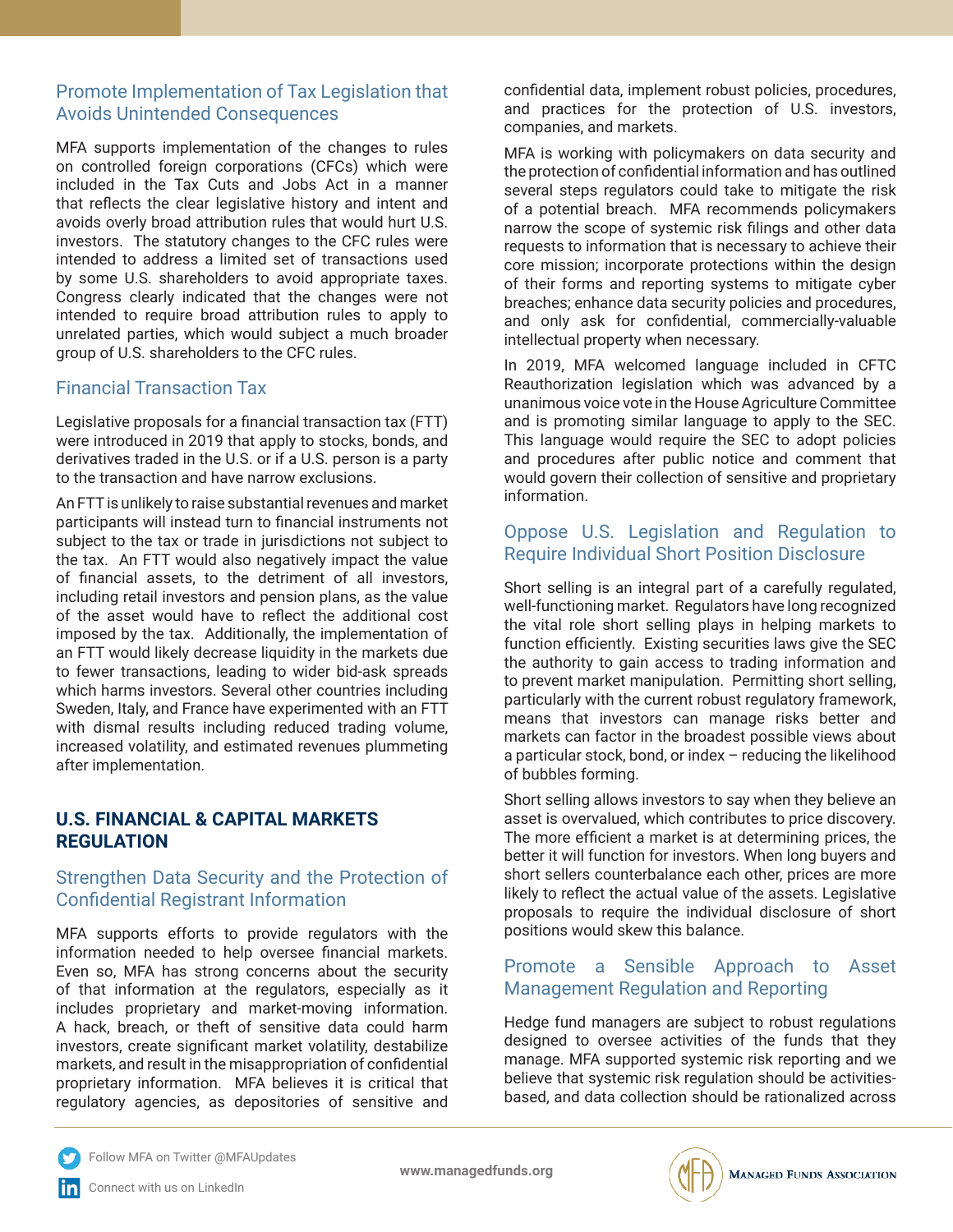# Promote Implementation of Tax Legislation that Avoids Unintended Consequences

MFA supports implementation of the changes to rules on controlled foreign corporations (CFCs) which were included in the Tax Cuts and Jobs Act in a manner that reflects the clear legislative history and intent and avoids overly broad attribution rules that would hurt U.S. investors. The statutory changes to the CFC rules were intended to address a limited set of transactions used by some U.S. shareholders to avoid appropriate taxes. Congress clearly indicated that the changes were not intended to require broad attribution rules to apply to unrelated parties, which would subject a much broader group of U.S. shareholders to the CFC rules.

## Financial Transaction Tax

Legislative proposals for a financial transaction tax (FTT) were introduced in 2019 that apply to stocks, bonds, and derivatives traded in the U.S. or if a U.S. person is a party to the transaction and have narrow exclusions.

An FTT is unlikely to raise substantial revenues and market participants will instead turn to financial instruments not subject to the tax or trade in jurisdictions not subject to the tax. An FTT would also negatively impact the value of financial assets, to the detriment of all investors, including retail investors and pension plans, as the value of the asset would have to reflect the additional cost imposed by the tax. Additionally, the implementation of an FTT would likely decrease liquidity in the markets due to fewer transactions, leading to wider bid-ask spreads which harms investors. Several other countries including Sweden, Italy, and France have experimented with an FTT with dismal results including reduced trading volume, increased volatility, and estimated revenues plummeting after implementation.

## **U.S. FINANCIAL & CAPITAL MARKETS REGULATION**

## Strengthen Data Security and the Protection of Confidential Registrant Information

MFA supports efforts to provide regulators with the information needed to help oversee financial markets. Even so, MFA has strong concerns about the security of that information at the regulators, especially as it includes proprietary and market-moving information. A hack, breach, or theft of sensitive data could harm investors, create significant market volatility, destabilize markets, and result in the misappropriation of confidential proprietary information. MFA believes it is critical that regulatory agencies, as depositories of sensitive and

confidential data, implement robust policies, procedures, and practices for the protection of U.S. investors, companies, and markets.

MFA is working with policymakers on data security and the protection of confidential information and has outlined several steps regulators could take to mitigate the risk of a potential breach. MFA recommends policymakers narrow the scope of systemic risk filings and other data requests to information that is necessary to achieve their core mission; incorporate protections within the design of their forms and reporting systems to mitigate cyber breaches; enhance data security policies and procedures, and only ask for confidential, commercially-valuable intellectual property when necessary.

In 2019, MFA welcomed language included in CFTC Reauthorization legislation which was advanced by a unanimous voice vote in the House Agriculture Committee and is promoting similar language to apply to the SEC. This language would require the SEC to adopt policies and procedures after public notice and comment that would govern their collection of sensitive and proprietary information.

## Oppose U.S. Legislation and Regulation to Require Individual Short Position Disclosure

Short selling is an integral part of a carefully regulated, well-functioning market. Regulators have long recognized the vital role short selling plays in helping markets to function efficiently. Existing securities laws give the SEC the authority to gain access to trading information and to prevent market manipulation. Permitting short selling, particularly with the current robust regulatory framework, means that investors can manage risks better and markets can factor in the broadest possible views about a particular stock, bond, or index – reducing the likelihood of bubbles forming.

Short selling allows investors to say when they believe an asset is overvalued, which contributes to price discovery. The more efficient a market is at determining prices, the better it will function for investors. When long buyers and short sellers counterbalance each other, prices are more likely to reflect the actual value of the assets. Legislative proposals to require the individual disclosure of short positions would skew this balance.

## Promote a Sensible Approach to Asset Management Regulation and Reporting

Hedge fund managers are subject to robust regulations designed to oversee activities of the funds that they manage. MFA supported systemic risk reporting and we believe that systemic risk regulation should be activitiesbased, and data collection should be rationalized across



**in** Connect with us on LinkedIn

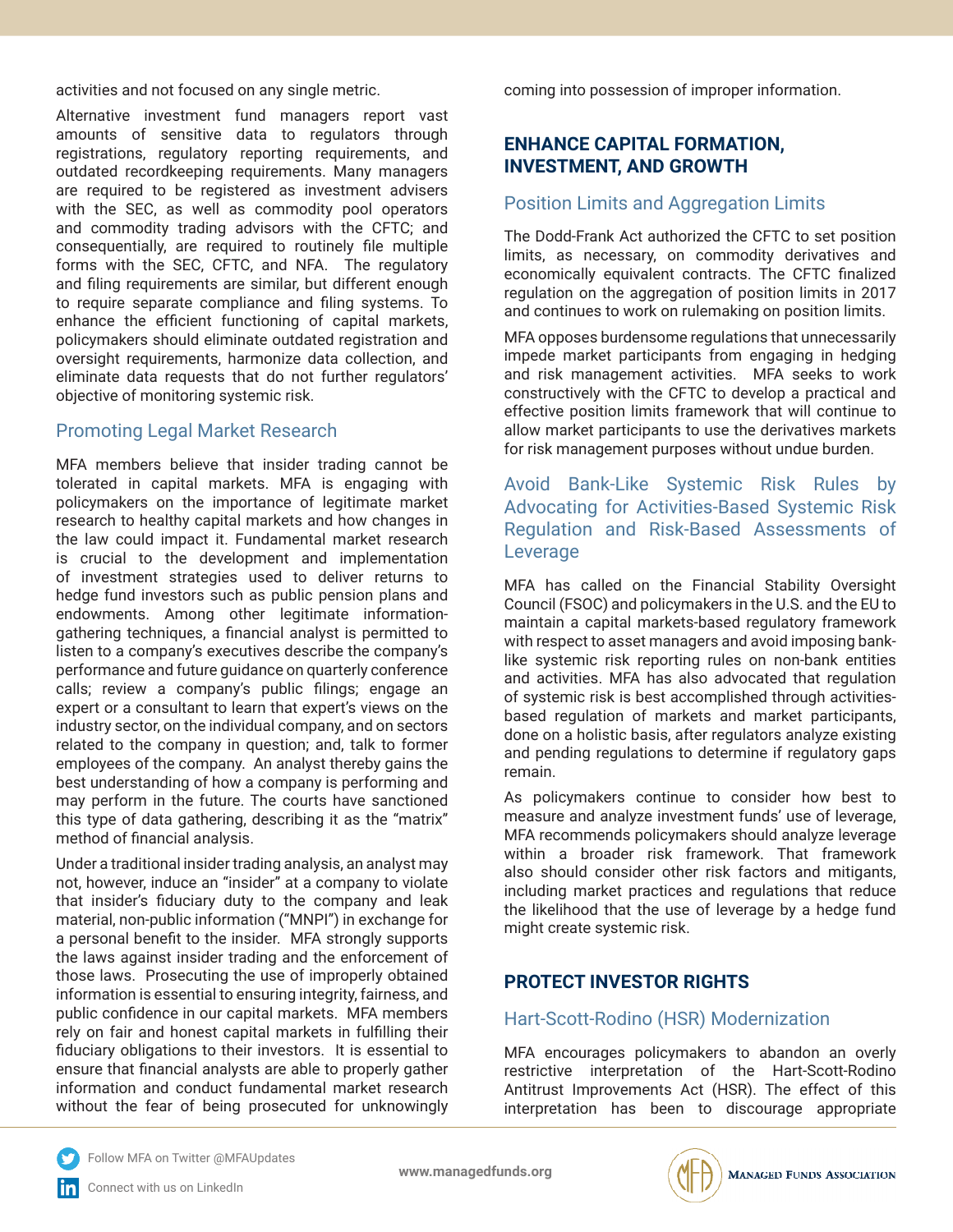activities and not focused on any single metric.

Alternative investment fund managers report vast amounts of sensitive data to regulators through registrations, regulatory reporting requirements, and outdated recordkeeping requirements. Many managers are required to be registered as investment advisers with the SEC, as well as commodity pool operators and commodity trading advisors with the CFTC; and consequentially, are required to routinely file multiple forms with the SEC, CFTC, and NFA. The regulatory and filing requirements are similar, but different enough to require separate compliance and filing systems. To enhance the efficient functioning of capital markets, policymakers should eliminate outdated registration and oversight requirements, harmonize data collection, and eliminate data requests that do not further regulators' objective of monitoring systemic risk.

#### Promoting Legal Market Research

MFA members believe that insider trading cannot be tolerated in capital markets. MFA is engaging with policymakers on the importance of legitimate market research to healthy capital markets and how changes in the law could impact it. Fundamental market research is crucial to the development and implementation of investment strategies used to deliver returns to hedge fund investors such as public pension plans and endowments. Among other legitimate informationgathering techniques, a financial analyst is permitted to listen to a company's executives describe the company's performance and future guidance on quarterly conference calls; review a company's public filings; engage an expert or a consultant to learn that expert's views on the industry sector, on the individual company, and on sectors related to the company in question; and, talk to former employees of the company. An analyst thereby gains the best understanding of how a company is performing and may perform in the future. The courts have sanctioned this type of data gathering, describing it as the "matrix" method of financial analysis.

Under a traditional insider trading analysis, an analyst may not, however, induce an "insider" at a company to violate that insider's fiduciary duty to the company and leak material, non-public information ("MNPI") in exchange for a personal benefit to the insider. MFA strongly supports the laws against insider trading and the enforcement of those laws. Prosecuting the use of improperly obtained information is essential to ensuring integrity, fairness, and public confidence in our capital markets. MFA members rely on fair and honest capital markets in fulfilling their fiduciary obligations to their investors. It is essential to ensure that financial analysts are able to properly gather information and conduct fundamental market research without the fear of being prosecuted for unknowingly

coming into possession of improper information.

# **ENHANCE CAPITAL FORMATION, INVESTMENT, AND GROWTH**

#### Position Limits and Aggregation Limits

The Dodd-Frank Act authorized the CFTC to set position limits, as necessary, on commodity derivatives and economically equivalent contracts. The CFTC finalized regulation on the aggregation of position limits in 2017 and continues to work on rulemaking on position limits.

MFA opposes burdensome regulations that unnecessarily impede market participants from engaging in hedging and risk management activities. MFA seeks to work constructively with the CFTC to develop a practical and effective position limits framework that will continue to allow market participants to use the derivatives markets for risk management purposes without undue burden.

## Avoid Bank-Like Systemic Risk Rules by Advocating for Activities-Based Systemic Risk Regulation and Risk-Based Assessments of Leverage

MFA has called on the Financial Stability Oversight Council (FSOC) and policymakers in the U.S. and the EU to maintain a capital markets-based regulatory framework with respect to asset managers and avoid imposing banklike systemic risk reporting rules on non-bank entities and activities. MFA has also advocated that regulation of systemic risk is best accomplished through activitiesbased regulation of markets and market participants, done on a holistic basis, after regulators analyze existing and pending regulations to determine if regulatory gaps remain.

As policymakers continue to consider how best to measure and analyze investment funds' use of leverage, MFA recommends policymakers should analyze leverage within a broader risk framework. That framework also should consider other risk factors and mitigants, including market practices and regulations that reduce the likelihood that the use of leverage by a hedge fund might create systemic risk.

# **PROTECT INVESTOR RIGHTS**

## Hart-Scott-Rodino (HSR) Modernization

MFA encourages policymakers to abandon an overly restrictive interpretation of the Hart-Scott-Rodino Antitrust Improvements Act (HSR). The effect of this interpretation has been to discourage appropriate